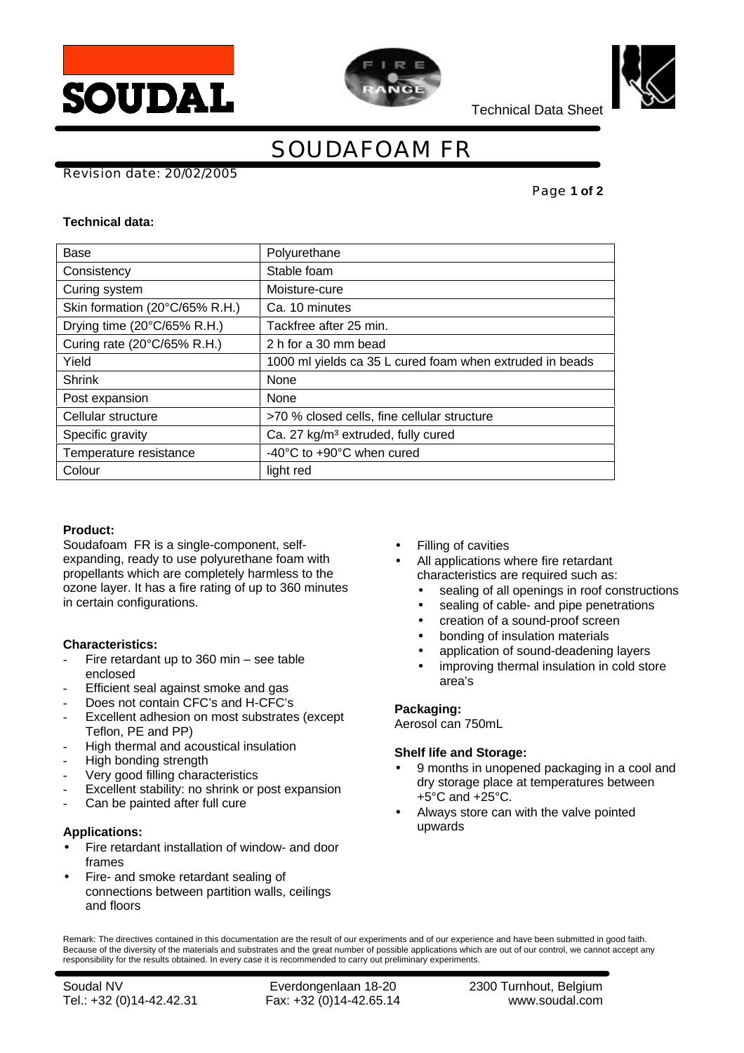





Technical Data Sheet

# SOUDAFOAM FR

Revision date: 20/02/2005

Page **1 of 2**

### **Technical data:**

| <b>Base</b>                    | Polyurethane                                             |
|--------------------------------|----------------------------------------------------------|
| Consistency                    | Stable foam                                              |
| Curing system                  | Moisture-cure                                            |
| Skin formation (20°C/65% R.H.) | Ca. 10 minutes                                           |
| Drying time (20°C/65% R.H.)    | Tackfree after 25 min.                                   |
| Curing rate (20°C/65% R.H.)    | 2 h for a 30 mm bead                                     |
| Yield                          | 1000 ml yields ca 35 L cured foam when extruded in beads |
| <b>Shrink</b>                  | None                                                     |
| Post expansion                 | None                                                     |
| Cellular structure             | >70 % closed cells, fine cellular structure              |
| Specific gravity               | Ca. 27 kg/m <sup>3</sup> extruded, fully cured           |
| Temperature resistance         | -40 $\degree$ C to +90 $\degree$ C when cured            |
| Colour                         | light red                                                |

# **Product:**

Soudafoam FR is a single-component, selfexpanding, ready to use polyurethane foam with propellants which are completely harmless to the ozone layer. It has a fire rating of up to 360 minutes in certain configurations.

# **Characteristics:**

- Fire retardant up to  $360$  min see table enclosed
- Efficient seal against smoke and gas
- Does not contain CFC's and H-CFC's
- Excellent adhesion on most substrates (except Teflon, PE and PP)
- High thermal and acoustical insulation
- High bonding strength
- Very good filling characteristics
- Excellent stability: no shrink or post expansion
- Can be painted after full cure

# **Applications:**

- Fire retardant installation of window- and door frames
- Fire- and smoke retardant sealing of connections between partition walls, ceilings and floors
- Filling of cavities
- All applications where fire retardant characteristics are required such as:
	- sealing of all openings in roof constructions
	- sealing of cable- and pipe penetrations
	- creation of a sound-proof screen
	- bonding of insulation materials
	- application of sound-deadening layers
	- improving thermal insulation in cold store area's

#### **Packaging:**

Aerosol can 750mL

# **Shelf life and Storage:**

- 9 months in unopened packaging in a cool and dry storage place at temperatures between +5°C and +25°C.
- Always store can with the valve pointed upwards

Remark: The directives contained in this documentation are the result of our experiments and of our experience and have been submitted in good faith. Because of the diversity of the materials and substrates and the great number of possible applications which are out of our control, we cannot accept any responsibility for the results obtained. In every case it is recommended to carry out preliminary experiments.

Soudal NV Everdongenlaan 18-20 2300 Turnhout, Belgium Tel.: +32 (0)14-42.42.31 Fax: +32 (0)14-42.65.14 www.soudal.com